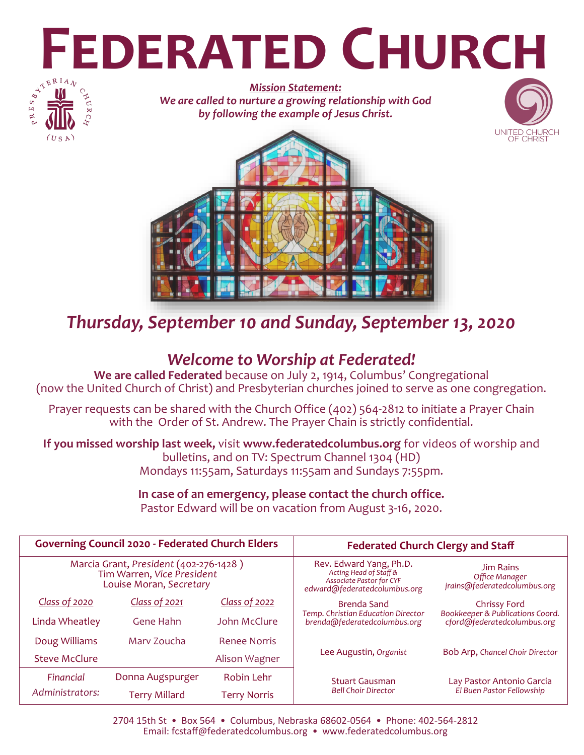# **FEDERATED CHURCH**



*Mission Statement: We are called to nurture a growing relationship with God by following the example of Jesus Christ.*





# *Thursday, September 10 and Sunday, September 13, 2020*

# *Welcome to Worship at Federated!*

**We are called Federated** because on July 2, 1914, Columbus' Congregational (now the United Church of Christ) and Presbyterian churches joined to serve as one congregation.

Prayer requests can be shared with the Church Office (402) 564-2812 to initiate a Prayer Chain with the Order of St. Andrew. The Prayer Chain is strictly confidential.

**If you missed worship last week,** visit **www.federatedcolumbus.org** for videos of worship and bulletins, and on TV: Spectrum Channel 1304 (HD) Mondays 11:55am, Saturdays 11:55am and Sundays 7:55pm.

### **In case of an emergency, please contact the church office.**  Pastor Edward will be on vacation from August 3-16, 2020.

| <b>Governing Council 2020 - Federated Church Elders</b>                                         |                  |                     | <b>Federated Church Clergy and Staff</b>                                                                             |                                                                    |  |
|-------------------------------------------------------------------------------------------------|------------------|---------------------|----------------------------------------------------------------------------------------------------------------------|--------------------------------------------------------------------|--|
| Marcia Grant, President (402-276-1428)<br>Tim Warren, Vice President<br>Louise Moran, Secretary |                  |                     | Rev. Edward Yang, Ph.D.<br>Acting Head of Staff &<br><b>Associate Pastor for CYF</b><br>edward@federatedcolumbus.org | <b>Jim Rains</b><br>Office Manager<br>jrains@federatedcolumbus.org |  |
| <b>Class of 2020</b>                                                                            | Class of 2021    | Class of 2022       | <b>Brenda Sand</b>                                                                                                   | Chrissy Ford                                                       |  |
| Linda Wheatley                                                                                  | Gene Hahn        | John McClure        | Temp. Christian Education Director<br>brenda@federatedcolumbus.org                                                   | Bookkeeper & Publications Coord.<br>cford@federatedcolumbus.org    |  |
| Doug Williams                                                                                   | Mary Zoucha      | <b>Renee Norris</b> |                                                                                                                      |                                                                    |  |
| <b>Steve McClure</b>                                                                            |                  | Alison Wagner       | Lee Augustin, Organist                                                                                               | Bob Arp, Chancel Choir Director                                    |  |
| Financial                                                                                       | Donna Augspurger | Robin Lehr          | <b>Stuart Gausman</b>                                                                                                | Lay Pastor Antonio Garcia                                          |  |
| Administrators:                                                                                 | Terry Millard    | <b>Terry Norris</b> | <b>Bell Choir Director</b>                                                                                           | El Buen Pastor Fellowship                                          |  |

2704 15th St • Box 564 • Columbus, Nebraska 68602-0564 • Phone: 402-564-2812 Email: fcstaff@federatedcolumbus.org • www.federatedcolumbus.org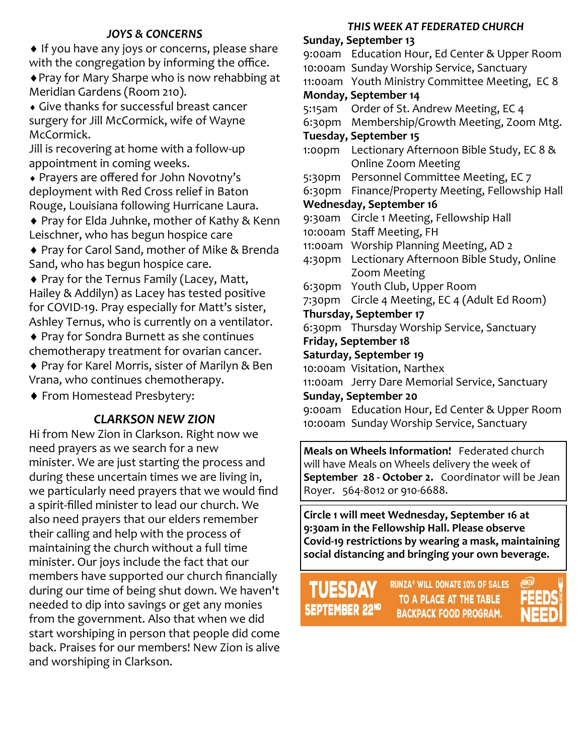# *JOYS & CONCERNS*

◆ If you have any joys or concerns, please share with the congregation by informing the office.

Pray for Mary Sharpe who is now rehabbing at Meridian Gardens (Room 210).

 Give thanks for successful breast cancer surgery for Jill McCormick, wife of Wayne McCormick.

Jill is recovering at home with a follow-up appointment in coming weeks.

 Prayers are offered for John Novotny's deployment with Red Cross relief in Baton Rouge, Louisiana following Hurricane Laura.

◆ Pray for Elda Juhnke, mother of Kathy & Kenn Leischner, who has begun hospice care

 Pray for Carol Sand, mother of Mike & Brenda Sand, who has begun hospice care.

 Pray for the Ternus Family (Lacey, Matt, Hailey & Addilyn) as Lacey has tested positive for COVID-19. Pray especially for Matt's sister, Ashley Ternus, who is currently on a ventilator.

 Pray for Sondra Burnett as she continues chemotherapy treatment for ovarian cancer.

◆ Pray for Karel Morris, sister of Marilyn & Ben Vrana, who continues chemotherapy.

From Homestead Presbytery:

# *CLARKSON NEW ZION*

Hi from New Zion in Clarkson. Right now we need prayers as we search for a new minister. We are just starting the process and during these uncertain times we are living in, we particularly need prayers that we would find a spirit-filled minister to lead our church. We also need prayers that our elders remember their calling and help with the process of maintaining the church without a full time minister. Our joys include the fact that our members have supported our church financially during our time of being shut down. We haven't needed to dip into savings or get any monies from the government. Also that when we did start worshiping in person that people did come back. Praises for our members! New Zion is alive and worshiping in Clarkson.

#### *THIS WEEK AT FEDERATED CHURCH*

**Sunday, September 13** 9:00am Education Hour, Ed Center & Upper Room 10:00am Sunday Worship Service, Sanctuary 11:00am Youth Ministry Committee Meeting, EC 8 **Monday, September 14** 5:15am Order of St. Andrew Meeting, EC 4 6:30pm Membership/Growth Meeting, Zoom Mtg. **Tuesday, September 15** 1:00pm Lectionary Afternoon Bible Study, EC 8 & Online Zoom Meeting 5:30pm Personnel Committee Meeting, EC 7 6:30pm Finance/Property Meeting, Fellowship Hall **Wednesday, September 16** 9:30am Circle 1 Meeting, Fellowship Hall 10:00am Staff Meeting, FH 11:00am Worship Planning Meeting, AD 2 4:30pm Lectionary Afternoon Bible Study, Online Zoom Meeting 6:30pm Youth Club, Upper Room 7:30pm Circle 4 Meeting, EC 4 (Adult Ed Room) **Thursday, September 17** 6:30pm Thursday Worship Service, Sanctuary **Friday, September 18 Saturday, September 19** 10:00am Visitation, Narthex 11:00am Jerry Dare Memorial Service, Sanctuary **Sunday, September 20** 9:00am Education Hour, Ed Center & Upper Room 10:00am Sunday Worship Service, Sanctuary

**Meals on Wheels Information!** Federated church will have Meals on Wheels delivery the week of **September 28 - October 2.** Coordinator will be Jean Royer. 564-8012 or 910-6688.

**Circle 1 will meet Wednesday, September 16 at 9:30am in the Fellowship Hall. Please observe Covid-19 restrictions by wearing a mask, maintaining social distancing and bringing your own beverage.**

SEPTEMBER 22ND

**RUNZA<sup>®</sup> WILL DONATE 10% OF SALES** TO A PLACE AT THE TABLE **BACKPACK FOOD PROGRAM.**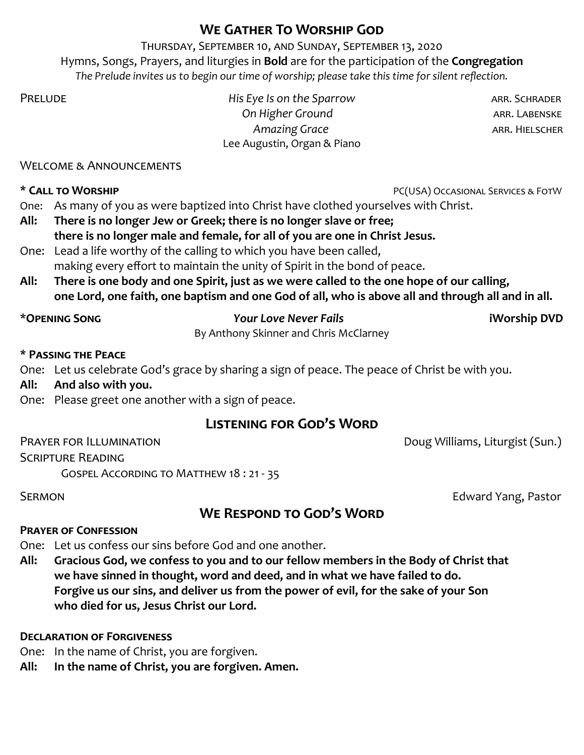# **We Gather To Worship God**

Thursday, September 10, and Sunday, September 13, 2020 Hymns, Songs, Prayers, and liturgies in **Bold** are for the participation of the **Congregation** *The Prelude invites us to begin our time of worship; please take this time for silent reflection.*

PRELUDE **Arrival Example 2018** His Eye Is on the Sparrow **and Arrival Arrival Arrival Arrival Arrival Arrival Arrival Arrival Arrival Arrival Arrival Arrival Arrival Arrival Arrival Arrival Arrival Arrival Arrival Arrival On Higher Ground Communist Communist Communist Communist Communist Communist Communist Communist Communist Communist Communist Communist Communist Communist Communist Communist Communist Communist Communist Communist Comm Amazing Grace** and a structure are a structure and arr. HIELSCHER Lee Augustin, Organ & Piano

Welcome & Announcements

**\* Call to Worship** PC(USA) Occasional Services & FotW

One: As many of you as were baptized into Christ have clothed yourselves with Christ.

- **All: There is no longer Jew or Greek; there is no longer slave or free; there is no longer male and female, for all of you are one in Christ Jesus.**
- One: Lead a life worthy of the calling to which you have been called, making every effort to maintain the unity of Spirit in the bond of peace.
- **All: There is one body and one Spirit, just as we were called to the one hope of our calling, one Lord, one faith, one baptism and one God of all, who is above all and through all and in all.**

# \***Opening Song** *Your Love Never Fails* **iWorship DVD**

By Anthony Skinner and Chris McClarney

# **\* Passing the Peace**

One: Let us celebrate God's grace by sharing a sign of peace. The peace of Christ be with you.

# **All: And also with you.**

One: Please greet one another with a sign of peace.

# **Listening for God's Word**

PRAYER FOR ILLUMINATION **PRAYER FOR ILLUMINATION** 

# Scripture Reading

Gospel According to Matthew 18 : 21 - 35

**SERMON** *Edward Yang, Pastor* 

# **We Respond to God's Word**

# **Prayer of Confession**

One: Let us confess our sins before God and one another.

**All: Gracious God, we confess to you and to our fellow members in the Body of Christ that we have sinned in thought, word and deed, and in what we have failed to do. Forgive us our sins, and deliver us from the power of evil, for the sake of your Son who died for us, Jesus Christ our Lord.**

# **Declaration of Forgiveness**

One: In the name of Christ, you are forgiven.

**All: In the name of Christ, you are forgiven. Amen.**